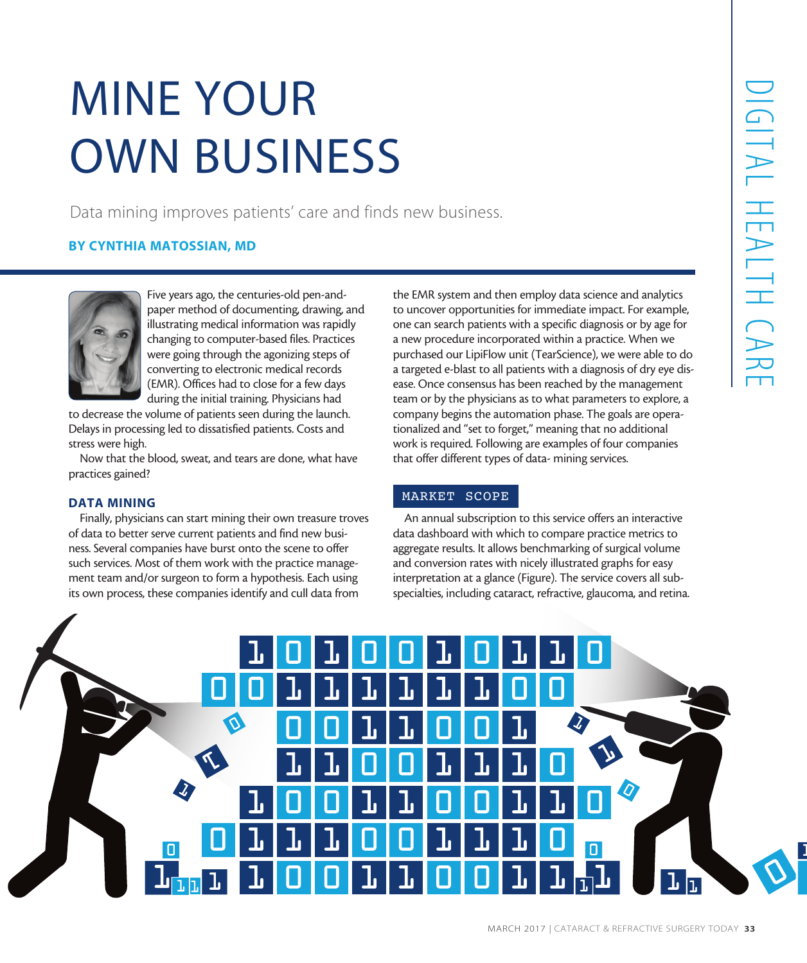# MINE YOUR OWN BUSINESS

Data mining improves patients' care and finds new business.

## BY CYNTHIA MATOSSIAN, MD



Five years ago, the centuries-old pen-andpaper method of documenting, drawing, and illustrating medical information was rapidly changing to computer-based files. Practices were going through the agonizing steps of converting to electronic medical records (EMR). Offices had to close for a few days during the initial training. Physicians had

to decrease the volume of patients seen during the launch. Delays in processing led to dissatisfied patients. Costs and stress were high.

Now that the blood, sweat, and tears are done, what have practices gained?

#### DATA MINING

Finally, physicians can start mining their own treasure troves of data to better serve current patients and find new business. Several companies have burst onto the scene to offer such services. Most of them work with the practice management team and/or surgeon to form a hypothesis. Each using its own process, these companies identify and cull data from

the EMR system and then employ data science and analytics to uncover opportunities for immediate impact. For example, one can search patients with a specific diagnosis or by age for a new procedure incorporated within a practice. When we purchased our LipiFlow unit (TearScience), we were able to do a targeted e-blast to all patients with a diagnosis of dry eye disease. Once consensus has been reached by the management team or by the physicians as to what parameters to explore, a company begins the automation phase. The goals are operationalized and "set to forget," meaning that no additional work is required. Following are examples of four companies that offer different types of data- mining services.

## MARKET SCOPE

An annual subscription to this service offers an interactive data dashboard with which to compare practice metrics to aggregate results. It allows benchmarking of surgical volume and conversion rates with nicely illustrated graphs for easy interpretation at a glance (Figure). The service covers all subspecialties, including cataract, refractive, glaucoma, and retina.